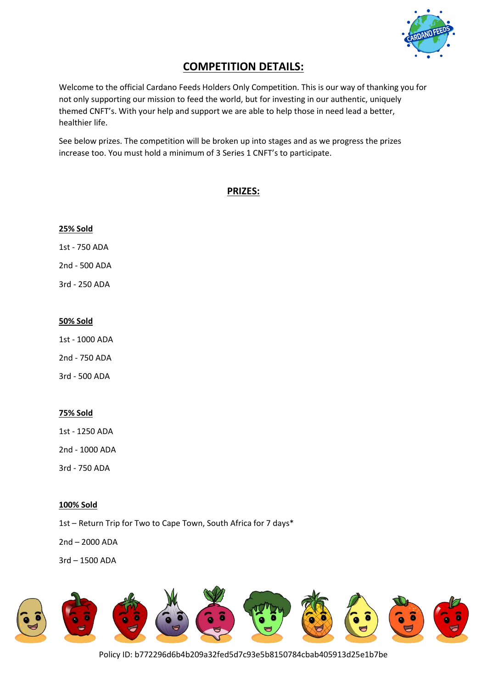

# **COMPETITION DETAILS:**

Welcome to the official Cardano Feeds Holders Only Competition. This is our way of thanking you for not only supporting our mission to feed the world, but for investing in our authentic, uniquely themed CNFT's. With your help and support we are able to help those in need lead a better, healthier life.

See below prizes. The competition will be broken up into stages and as we progress the prizes increase too. You must hold a minimum of 3 Series 1 CNFT's to participate.

# **PRIZES:**

# **25% Sold**

1st - 750 ADA

2nd - 500 ADA

3rd - 250 ADA

# **50% Sold**

1st - 1000 ADA

2nd - 750 ADA

3rd - 500 ADA

# **75% Sold**

1st - 1250 ADA

2nd - 1000 ADA

3rd - 750 ADA

# **100% Sold**

1st – Return Trip for Two to Cape Town, South Africa for 7 days\*

2nd – 2000 ADA

3rd – 1500 ADA



Policy ID: b772296d6b4b209a32fed5d7c93e5b8150784cbab405913d25e1b7be